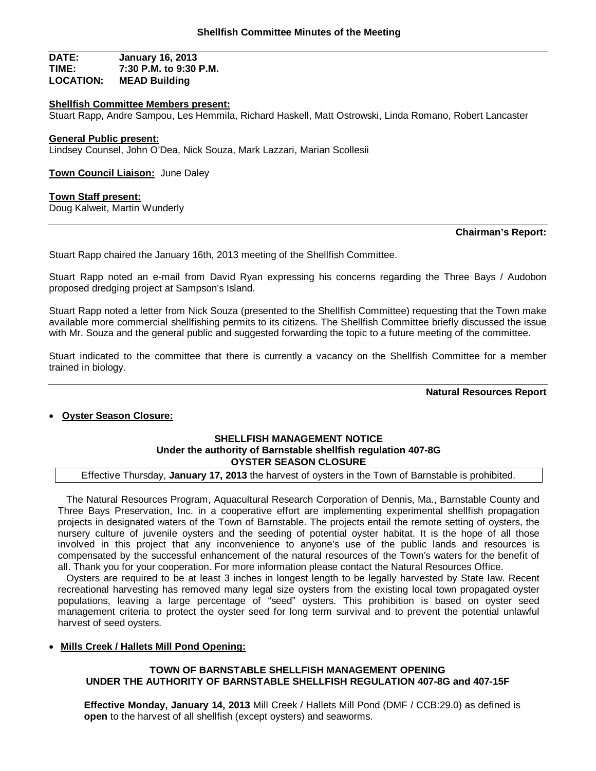### **DATE: January 16, 2013 TIME: 7:30 P.M. to 9:30 P.M. MEAD Building**

### **Shellfish Committee Members present:**

Stuart Rapp, Andre Sampou, Les Hemmila, Richard Haskell, Matt Ostrowski, Linda Romano, Robert Lancaster

#### **General Public present:**

Lindsey Counsel, John O'Dea, Nick Souza, Mark Lazzari, Marian Scollesii

**Town Council Liaison:** June Daley

### **Town Staff present:**

Doug Kalweit, Martin Wunderly

### **Chairman's Report:**

Stuart Rapp chaired the January 16th, 2013 meeting of the Shellfish Committee.

Stuart Rapp noted an e-mail from David Ryan expressing his concerns regarding the Three Bays / Audobon proposed dredging project at Sampson's Island.

Stuart Rapp noted a letter from Nick Souza (presented to the Shellfish Committee) requesting that the Town make available more commercial shellfishing permits to its citizens. The Shellfish Committee briefly discussed the issue with Mr. Souza and the general public and suggested forwarding the topic to a future meeting of the committee.

Stuart indicated to the committee that there is currently a vacancy on the Shellfish Committee for a member trained in biology.

**Natural Resources Report**

# **Oyster Season Closure:**

# **SHELLFISH MANAGEMENT NOTICE Under the authority of Barnstable shellfish regulation 407-8G OYSTER SEASON CLOSURE**

Effective Thursday, **January 17, 2013** the harvest of oysters in the Town of Barnstable is prohibited.

 The Natural Resources Program, Aquacultural Research Corporation of Dennis, Ma., Barnstable County and Three Bays Preservation, Inc. in a cooperative effort are implementing experimental shellfish propagation projects in designated waters of the Town of Barnstable. The projects entail the remote setting of oysters, the nursery culture of juvenile oysters and the seeding of potential oyster habitat. It is the hope of all those involved in this project that any inconvenience to anyone's use of the public lands and resources is compensated by the successful enhancement of the natural resources of the Town's waters for the benefit of all. Thank you for your cooperation. For more information please contact the Natural Resources Office.

 Oysters are required to be at least 3 inches in longest length to be legally harvested by State law. Recent recreational harvesting has removed many legal size oysters from the existing local town propagated oyster populations, leaving a large percentage of "seed" oysters. This prohibition is based on oyster seed management criteria to protect the oyster seed for long term survival and to prevent the potential unlawful harvest of seed oysters.

# **Mills Creek / Hallets Mill Pond Opening:**

# **TOWN OF BARNSTABLE SHELLFISH MANAGEMENT OPENING UNDER THE AUTHORITY OF BARNSTABLE SHELLFISH REGULATION 407-8G and 407-15F**

**Effective Monday, January 14, 2013** Mill Creek / Hallets Mill Pond (DMF / CCB:29.0) as defined is **open** to the harvest of all shellfish (except oysters) and seaworms.